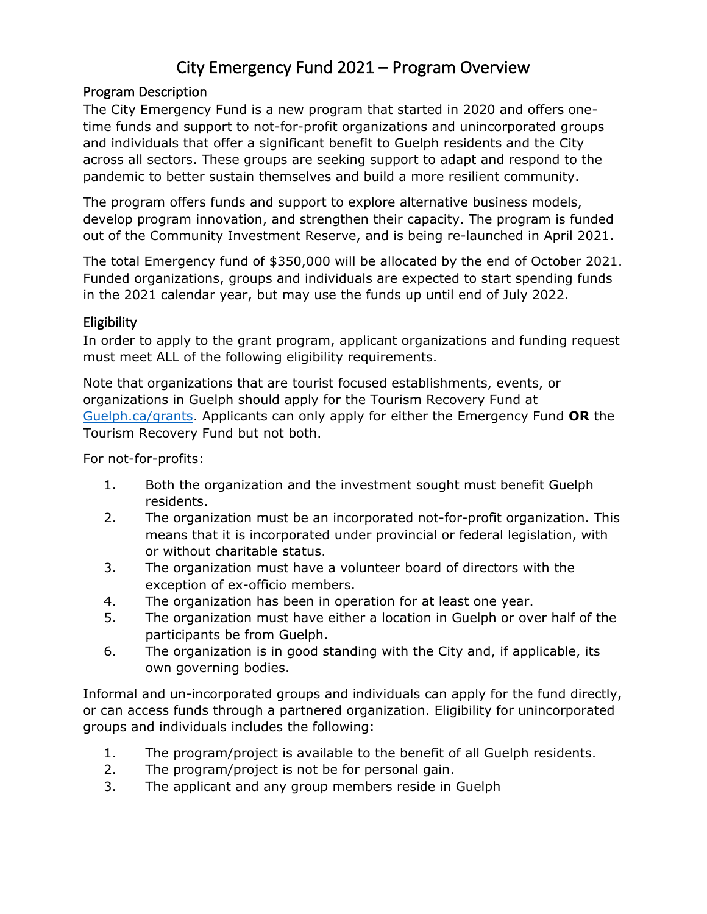# City Emergency Fund 2021 – Program Overview

#### Program Description

The City Emergency Fund is a new program that started in 2020 and offers onetime funds and support to not-for-profit organizations and unincorporated groups and individuals that offer a significant benefit to Guelph residents and the City across all sectors. These groups are seeking support to adapt and respond to the pandemic to better sustain themselves and build a more resilient community.

The program offers funds and support to explore alternative business models, develop program innovation, and strengthen their capacity. The program is funded out of the Community Investment Reserve, and is being re-launched in April 2021.

The total Emergency fund of \$350,000 will be allocated by the end of October 2021. Funded organizations, groups and individuals are expected to start spending funds in the 2021 calendar year, but may use the funds up until end of July 2022.

#### **Eligibility**

In order to apply to the grant program, applicant organizations and funding request must meet ALL of the following eligibility requirements.

Note that organizations that are tourist focused establishments, events, or organizations in Guelph should apply for the Tourism Recovery Fund at [Guelph.ca/grants.](http://www.guelph.ca/grants) Applicants can only apply for either the Emergency Fund **OR** the Tourism Recovery Fund but not both.

For not-for-profits:

- 1. Both the organization and the investment sought must benefit Guelph residents.
- 2. The organization must be an incorporated not-for-profit organization. This means that it is incorporated under provincial or federal legislation, with or without charitable status.
- 3. The organization must have a volunteer board of directors with the exception of ex-officio members.
- 4. The organization has been in operation for at least one year.
- 5. The organization must have either a location in Guelph or over half of the participants be from Guelph.
- 6. The organization is in good standing with the City and, if applicable, its own governing bodies.

Informal and un-incorporated groups and individuals can apply for the fund directly, or can access funds through a partnered organization. Eligibility for unincorporated groups and individuals includes the following:

- 1. The program/project is available to the benefit of all Guelph residents.
- 2. The program/project is not be for personal gain.
- 3. The applicant and any group members reside in Guelph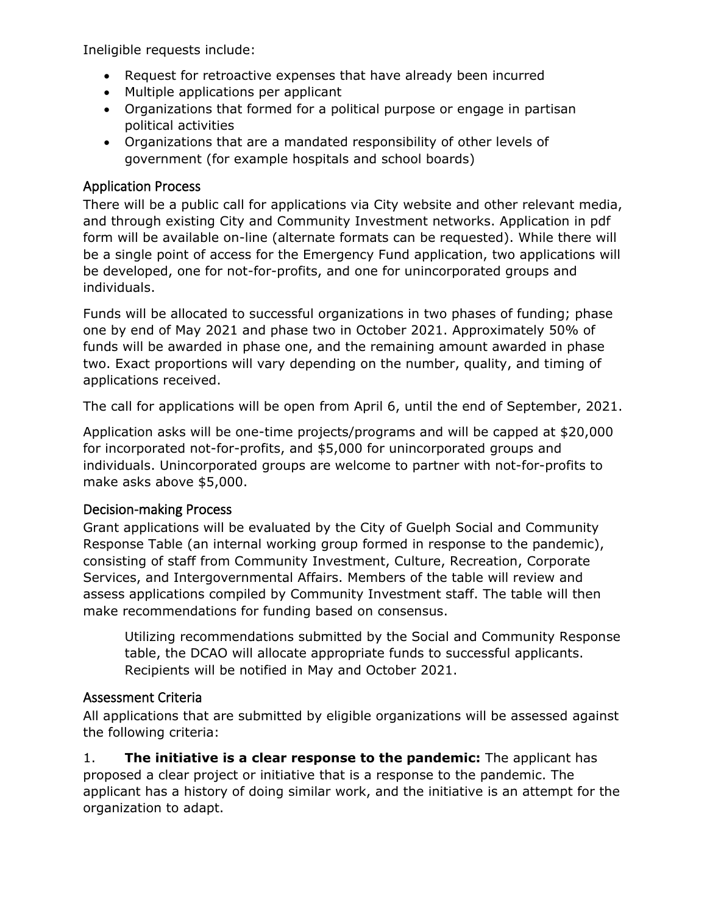Ineligible requests include:

- Request for retroactive expenses that have already been incurred
- Multiple applications per applicant
- Organizations that formed for a political purpose or engage in partisan political activities
- Organizations that are a mandated responsibility of other levels of government (for example hospitals and school boards)

#### Application Process

There will be a public call for applications via City website and other relevant media, and through existing City and Community Investment networks. Application in pdf form will be available on-line (alternate formats can be requested). While there will be a single point of access for the Emergency Fund application, two applications will be developed, one for not-for-profits, and one for unincorporated groups and individuals.

Funds will be allocated to successful organizations in two phases of funding; phase one by end of May 2021 and phase two in October 2021. Approximately 50% of funds will be awarded in phase one, and the remaining amount awarded in phase two. Exact proportions will vary depending on the number, quality, and timing of applications received.

The call for applications will be open from April 6, until the end of September, 2021.

Application asks will be one-time projects/programs and will be capped at \$20,000 for incorporated not-for-profits, and \$5,000 for unincorporated groups and individuals. Unincorporated groups are welcome to partner with not-for-profits to make asks above \$5,000.

#### Decision-making Process

Grant applications will be evaluated by the City of Guelph Social and Community Response Table (an internal working group formed in response to the pandemic), consisting of staff from Community Investment, Culture, Recreation, Corporate Services, and Intergovernmental Affairs. Members of the table will review and assess applications compiled by Community Investment staff. The table will then make recommendations for funding based on consensus.

Utilizing recommendations submitted by the Social and Community Response table, the DCAO will allocate appropriate funds to successful applicants. Recipients will be notified in May and October 2021.

### Assessment Criteria

All applications that are submitted by eligible organizations will be assessed against the following criteria:

1. **The initiative is a clear response to the pandemic:** The applicant has proposed a clear project or initiative that is a response to the pandemic. The applicant has a history of doing similar work, and the initiative is an attempt for the organization to adapt.